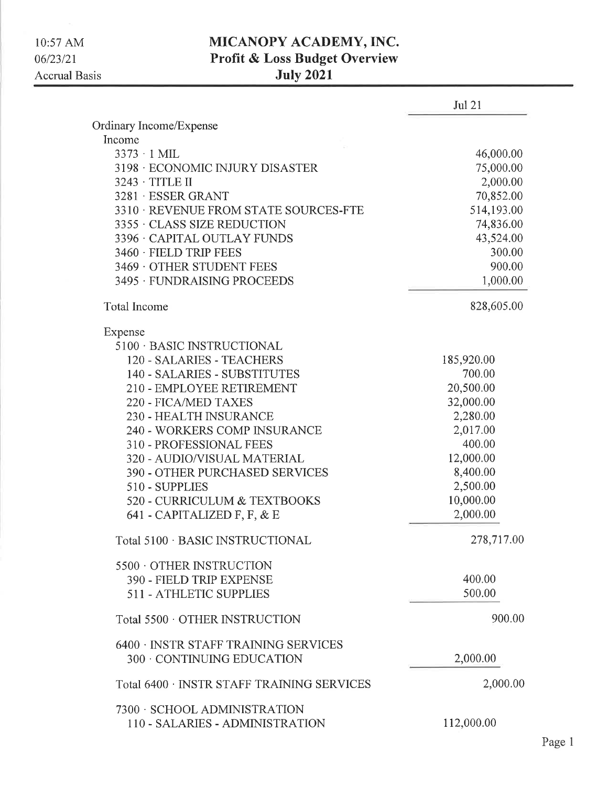## **MICANOPY ACADEMY, INC.<br>Profit & Loss Budget Overview**

| <b>July 2021</b> |  |
|------------------|--|
|------------------|--|

|                                            | <b>Jul 21</b> |
|--------------------------------------------|---------------|
| Ordinary Income/Expense                    |               |
| Income                                     |               |
| $3373 \cdot 1$ MIL                         | 46,000.00     |
| 3198 ECONOMIC INJURY DISASTER              | 75,000.00     |
| 3243 · TITLE II                            | 2,000.00      |
| 3281 ESSER GRANT                           | 70,852.00     |
| 3310 · REVENUE FROM STATE SOURCES-FTE      | 514,193.00    |
| 3355 CLASS SIZE REDUCTION                  | 74,836.00     |
| 3396 · CAPITAL OUTLAY FUNDS                | 43,524.00     |
| 3460 · FIELD TRIP FEES                     | 300.00        |
| 3469 OTHER STUDENT FEES                    | 900.00        |
| 3495 FUNDRAISING PROCEEDS                  | 1,000.00      |
| <b>Total Income</b>                        | 828,605.00    |
| Expense                                    |               |
| 5100 · BASIC INSTRUCTIONAL                 |               |
| 120 - SALARIES - TEACHERS                  | 185,920.00    |
| 140 - SALARIES - SUBSTITUTES               | 700.00        |
| 210 - EMPLOYEE RETIREMENT                  | 20,500.00     |
| 220 - FICA/MED TAXES                       | 32,000.00     |
| 230 - HEALTH INSURANCE                     | 2,280.00      |
| 240 - WORKERS COMP INSURANCE               | 2,017.00      |
| 310 - PROFESSIONAL FEES                    | 400.00        |
| 320 - AUDIO/VISUAL MATERIAL                | 12,000.00     |
| 390 - OTHER PURCHASED SERVICES             | 8,400.00      |
| 510 - SUPPLIES                             | 2,500.00      |
| 520 - CURRICULUM & TEXTBOOKS               | 10,000.00     |
| 641 - CAPITALIZED F, F, & E                | 2,000.00      |
| Total 5100 · BASIC INSTRUCTIONAL           | 278,717.00    |
| 5500 OTHER INSTRUCTION                     |               |
| 390 - FIELD TRIP EXPENSE                   | 400.00        |
| 511 - ATHLETIC SUPPLIES                    | 500.00        |
| Total 5500 OTHER INSTRUCTION               | 900.00        |
| 6400 · INSTR STAFF TRAINING SERVICES       |               |
| 300 CONTINUING EDUCATION                   | 2,000.00      |
| Total 6400 · INSTR STAFF TRAINING SERVICES | 2,000.00      |
| 7300 · SCHOOL ADMINISTRATION               |               |
| 110 - SALARIES - ADMINISTRATION            | 112,000.00    |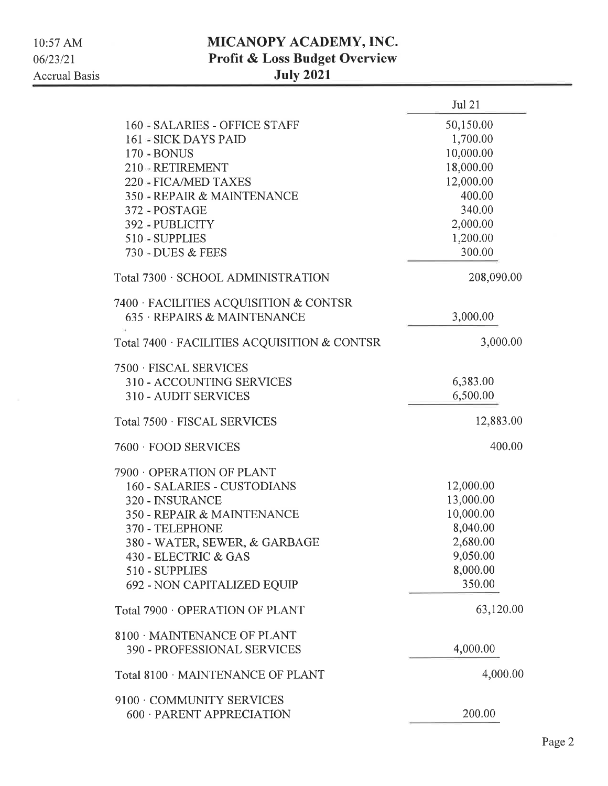## MICANOPY ACADEMY, INC. Profit & Loss Budget Overview July 2021

|                                              | Jul 21     |
|----------------------------------------------|------------|
| 160 - SALARIES - OFFICE STAFF                | 50,150.00  |
| 161 - SICK DAYS PAID                         | 1,700.00   |
| <b>170 - BONUS</b>                           | 10,000.00  |
| 210 - RETIREMENT                             | 18,000.00  |
| 220 - FICA/MED TAXES                         | 12,000.00  |
| 350 - REPAIR & MAINTENANCE                   | 400.00     |
| 372 - POSTAGE                                | 340.00     |
| 392 - PUBLICITY                              | 2,000.00   |
| 510 - SUPPLIES                               | 1,200.00   |
| 730 - DUES & FEES                            | 300.00     |
|                                              |            |
| Total 7300 · SCHOOL ADMINISTRATION           | 208,090.00 |
| 7400 · FACILITIES ACQUISITION & CONTSR       |            |
| 635 · REPAIRS & MAINTENANCE                  | 3,000.00   |
| Total 7400 · FACILITIES ACQUISITION & CONTSR | 3,000.00   |
| 7500 · FISCAL SERVICES                       |            |
| 310 - ACCOUNTING SERVICES                    | 6,383.00   |
| 310 - AUDIT SERVICES                         | 6,500.00   |
| Total 7500 · FISCAL SERVICES                 | 12,883.00  |
| 7600 FOOD SERVICES                           | 400.00     |
| 7900 OPERATION OF PLANT                      |            |
| 160 - SALARIES - CUSTODIANS                  | 12,000.00  |
| 320 - INSURANCE                              | 13,000.00  |
| 350 - REPAIR & MAINTENANCE                   | 10,000.00  |
| 370 - TELEPHONE                              | 8,040.00   |
| 380 - WATER, SEWER, & GARBAGE                | 2,680.00   |
| 430 - ELECTRIC & GAS                         | 9,050.00   |
| 510 - SUPPLIES                               | 8,000.00   |
| 692 - NON CAPITALIZED EQUIP                  | 350.00     |
| Total 7900 OPERATION OF PLANT                | 63,120.00  |
| 8100 MAINTENANCE OF PLANT                    |            |
| 390 - PROFESSIONAL SERVICES                  | 4,000.00   |
| Total 8100 · MAINTENANCE OF PLANT            | 4,000.00   |
| 9100 COMMUNITY SERVICES                      |            |
| 600 · PARENT APPRECIATION                    | 200.00     |